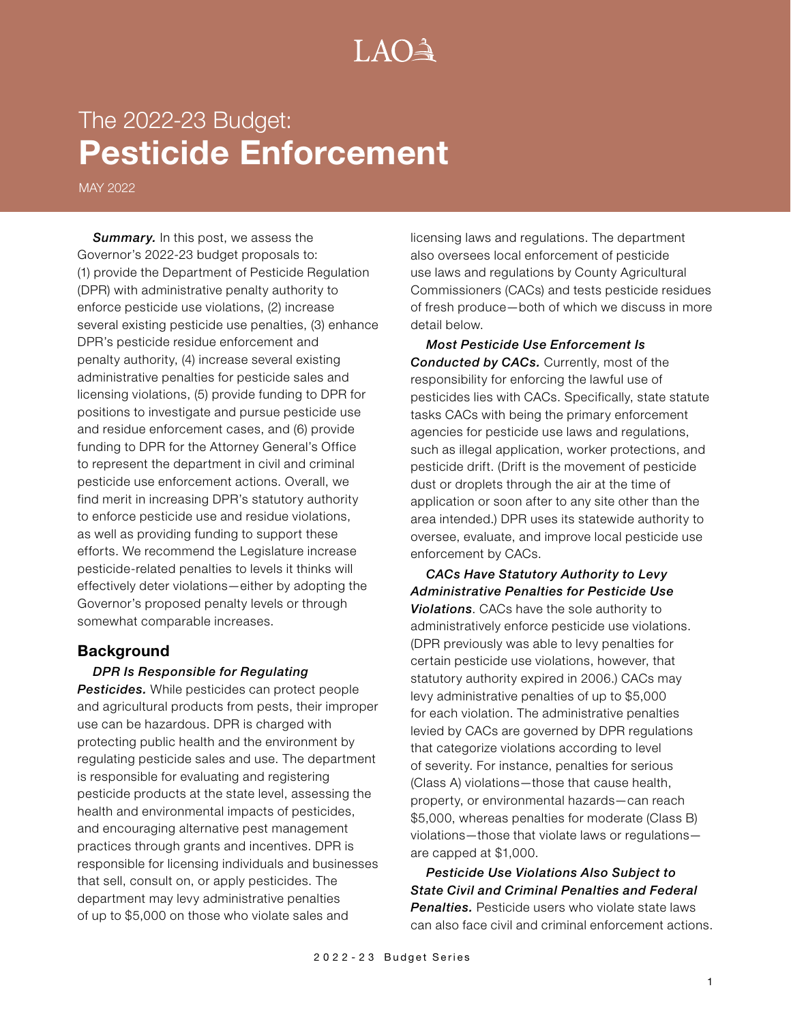# $A() \rightarrow$

# The 2022-23 Budget: **Pesticide Enforcement**

MAY 2022

**Summary.** In this post, we assess the Governor's 2022-23 budget proposals to: (1) provide the Department of Pesticide Regulation (DPR) with administrative penalty authority to enforce pesticide use violations, (2) increase several existing pesticide use penalties, (3) enhance DPR's pesticide residue enforcement and penalty authority, (4) increase several existing administrative penalties for pesticide sales and licensing violations, (5) provide funding to DPR for positions to investigate and pursue pesticide use and residue enforcement cases, and (6) provide funding to DPR for the Attorney General's Office to represent the department in civil and criminal pesticide use enforcement actions. Overall, we find merit in increasing DPR's statutory authority to enforce pesticide use and residue violations, as well as providing funding to support these efforts. We recommend the Legislature increase pesticide-related penalties to levels it thinks will effectively deter violations—either by adopting the Governor's proposed penalty levels or through somewhat comparable increases.

## **Background**

#### *DPR Is Responsible for Regulating*

*Pesticides.* While pesticides can protect people and agricultural products from pests, their improper use can be hazardous. DPR is charged with protecting public health and the environment by regulating pesticide sales and use. The department is responsible for evaluating and registering pesticide products at the state level, assessing the health and environmental impacts of pesticides, and encouraging alternative pest management practices through grants and incentives. DPR is responsible for licensing individuals and businesses that sell, consult on, or apply pesticides. The department may levy administrative penalties of up to \$5,000 on those who violate sales and

licensing laws and regulations. The department also oversees local enforcement of pesticide use laws and regulations by County Agricultural Commissioners (CACs) and tests pesticide residues of fresh produce—both of which we discuss in more detail below.

*Most Pesticide Use Enforcement Is Conducted by CACs.* Currently, most of the responsibility for enforcing the lawful use of pesticides lies with CACs. Specifically, state statute tasks CACs with being the primary enforcement agencies for pesticide use laws and regulations, such as illegal application, worker protections, and pesticide drift. (Drift is the movement of pesticide dust or droplets through the air at the time of application or soon after to any site other than the area intended.) DPR uses its statewide authority to oversee, evaluate, and improve local pesticide use enforcement by CACs.

*CACs Have Statutory Authority to Levy Administrative Penalties for Pesticide Use Violations*. CACs have the sole authority to administratively enforce pesticide use violations. (DPR previously was able to levy penalties for certain pesticide use violations, however, that statutory authority expired in 2006.) CACs may levy administrative penalties of up to \$5,000 for each violation. The administrative penalties levied by CACs are governed by DPR regulations that categorize violations according to level of severity. For instance, penalties for serious (Class A) violations—those that cause health, property, or environmental hazards—can reach \$5,000, whereas penalties for moderate (Class B) violations—those that violate laws or regulations are capped at \$1,000.

*Pesticide Use Violations Also Subject to State Civil and Criminal Penalties and Federal*  **Penalties**. Pesticide users who violate state laws can also face civil and criminal enforcement actions.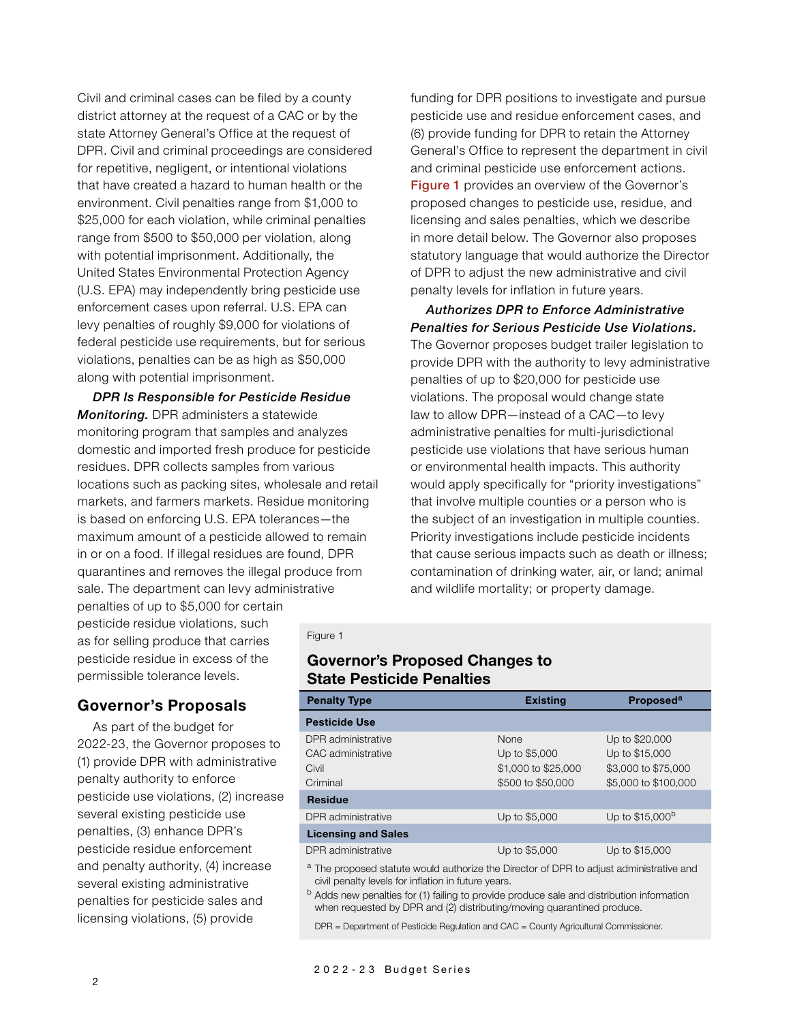Civil and criminal cases can be filed by a county district attorney at the request of a CAC or by the state Attorney General's Office at the request of DPR. Civil and criminal proceedings are considered for repetitive, negligent, or intentional violations that have created a hazard to human health or the environment. Civil penalties range from \$1,000 to \$25,000 for each violation, while criminal penalties range from \$500 to \$50,000 per violation, along with potential imprisonment. Additionally, the United States Environmental Protection Agency (U.S. EPA) may independently bring pesticide use enforcement cases upon referral. U.S. EPA can levy penalties of roughly \$9,000 for violations of federal pesticide use requirements, but for serious violations, penalties can be as high as \$50,000 along with potential imprisonment.

*DPR Is Responsible for Pesticide Residue Monitoring.* DPR administers a statewide monitoring program that samples and analyzes domestic and imported fresh produce for pesticide residues. DPR collects samples from various locations such as packing sites, wholesale and retail markets, and farmers markets. Residue monitoring is based on enforcing U.S. EPA tolerances—the maximum amount of a pesticide allowed to remain in or on a food. If illegal residues are found, DPR quarantines and removes the illegal produce from sale. The department can levy administrative

penalties of up to \$5,000 for certain pesticide residue violations, such as for selling produce that carries pesticide residue in excess of the permissible tolerance levels.

## **Governor's Proposals**

As part of the budget for 2022-23, the Governor proposes to (1) provide DPR with administrative penalty authority to enforce pesticide use violations, (2) increase several existing pesticide use penalties, (3) enhance DPR's pesticide residue enforcement and penalty authority, (4) increase several existing administrative penalties for pesticide sales and licensing violations, (5) provide

funding for DPR positions to investigate and pursue pesticide use and residue enforcement cases, and (6) provide funding for DPR to retain the Attorney General's Office to represent the department in civil and criminal pesticide use enforcement actions. Figure 1 provides an overview of the Governor's proposed changes to pesticide use, residue, and licensing and sales penalties, which we describe in more detail below. The Governor also proposes statutory language that would authorize the Director of DPR to adjust the new administrative and civil penalty levels for inflation in future years.

*Authorizes DPR to Enforce Administrative Penalties for Serious Pesticide Use Violations.*  The Governor proposes budget trailer legislation to provide DPR with the authority to levy administrative penalties of up to \$20,000 for pesticide use violations. The proposal would change state law to allow DPR—instead of a CAC—to levy administrative penalties for multi-jurisdictional pesticide use violations that have serious human or environmental health impacts. This authority would apply specifically for "priority investigations" that involve multiple counties or a person who is the subject of an investigation in multiple counties. Priority investigations include pesticide incidents that cause serious impacts such as death or illness; contamination of drinking water, air, or land; animal and wildlife mortality; or property damage.

#### Figure 1

### **Governor's Proposed Changes to State Pesticide Penalties**

| <b>Penalty Type</b>        | <b>Existing</b>     | Proposed <sup>a</sup>       |
|----------------------------|---------------------|-----------------------------|
| <b>Pesticide Use</b>       |                     |                             |
| DPR administrative         | <b>None</b>         | Up to \$20,000              |
| CAC administrative         | Up to \$5,000       | Up to \$15,000              |
| Civil                      | \$1,000 to \$25,000 | \$3,000 to \$75,000         |
| Criminal                   | \$500 to \$50,000   | \$5,000 to \$100,000        |
| <b>Residue</b>             |                     |                             |
| DPR administrative         | Up to \$5,000       | Up to \$15,000 <sup>b</sup> |
| <b>Licensing and Sales</b> |                     |                             |
| DPR administrative         | Up to \$5,000       | Up to \$15,000              |
|                            |                     |                             |

<sup>a</sup> The proposed statute would authorize the Director of DPR to adjust administrative and civil penalty levels for inflation in future years.

<sup>b</sup> Adds new penalties for (1) failing to provide produce sale and distribution information when requested by DPR and (2) distributing/moving quarantined produce.

DPR = Department of Pesticide Regulation and CAC = County Agricultural Commissioner.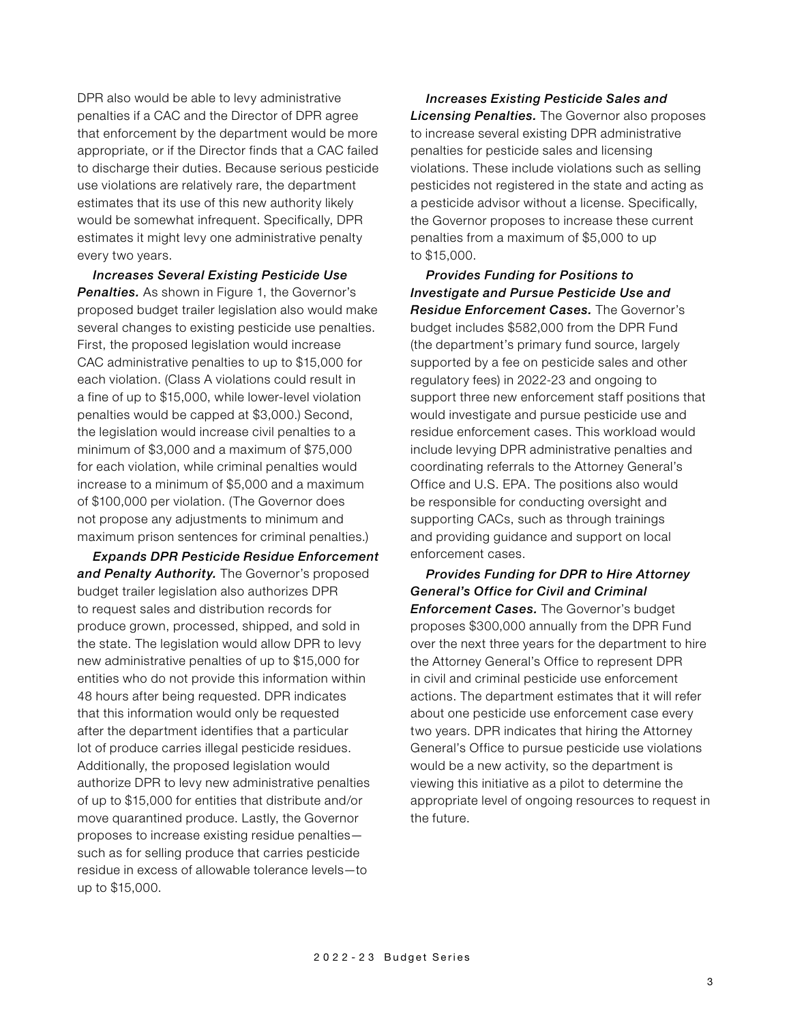DPR also would be able to levy administrative penalties if a CAC and the Director of DPR agree that enforcement by the department would be more appropriate, or if the Director finds that a CAC failed to discharge their duties. Because serious pesticide use violations are relatively rare, the department estimates that its use of this new authority likely would be somewhat infrequent. Specifically, DPR estimates it might levy one administrative penalty every two years.

*Increases Several Existing Pesticide Use*  **Penalties.** As shown in Figure 1, the Governor's proposed budget trailer legislation also would make several changes to existing pesticide use penalties. First, the proposed legislation would increase CAC administrative penalties to up to \$15,000 for each violation. (Class A violations could result in a fine of up to \$15,000, while lower-level violation penalties would be capped at \$3,000.) Second, the legislation would increase civil penalties to a minimum of \$3,000 and a maximum of \$75,000 for each violation, while criminal penalties would increase to a minimum of \$5,000 and a maximum of \$100,000 per violation. (The Governor does not propose any adjustments to minimum and maximum prison sentences for criminal penalties.)

*Expands DPR Pesticide Residue Enforcement and Penalty Authority.* The Governor's proposed budget trailer legislation also authorizes DPR to request sales and distribution records for produce grown, processed, shipped, and sold in the state. The legislation would allow DPR to levy new administrative penalties of up to \$15,000 for entities who do not provide this information within 48 hours after being requested. DPR indicates that this information would only be requested after the department identifies that a particular lot of produce carries illegal pesticide residues. Additionally, the proposed legislation would authorize DPR to levy new administrative penalties of up to \$15,000 for entities that distribute and/or move quarantined produce. Lastly, the Governor proposes to increase existing residue penalties such as for selling produce that carries pesticide residue in excess of allowable tolerance levels—to up to \$15,000.

*Increases Existing Pesticide Sales and Licensing Penalties.* The Governor also proposes to increase several existing DPR administrative penalties for pesticide sales and licensing violations. These include violations such as selling pesticides not registered in the state and acting as a pesticide advisor without a license. Specifically, the Governor proposes to increase these current penalties from a maximum of \$5,000 to up to \$15,000.

*Provides Funding for Positions to Investigate and Pursue Pesticide Use and Residue Enforcement Cases.* The Governor's budget includes \$582,000 from the DPR Fund (the department's primary fund source, largely supported by a fee on pesticide sales and other regulatory fees) in 2022-23 and ongoing to support three new enforcement staff positions that would investigate and pursue pesticide use and residue enforcement cases. This workload would include levying DPR administrative penalties and coordinating referrals to the Attorney General's Office and U.S. EPA. The positions also would be responsible for conducting oversight and supporting CACs, such as through trainings and providing guidance and support on local enforcement cases.

*Provides Funding for DPR to Hire Attorney General's Office for Civil and Criminal Enforcement Cases.* The Governor's budget proposes \$300,000 annually from the DPR Fund over the next three years for the department to hire the Attorney General's Office to represent DPR in civil and criminal pesticide use enforcement actions. The department estimates that it will refer about one pesticide use enforcement case every two years. DPR indicates that hiring the Attorney General's Office to pursue pesticide use violations would be a new activity, so the department is viewing this initiative as a pilot to determine the appropriate level of ongoing resources to request in the future.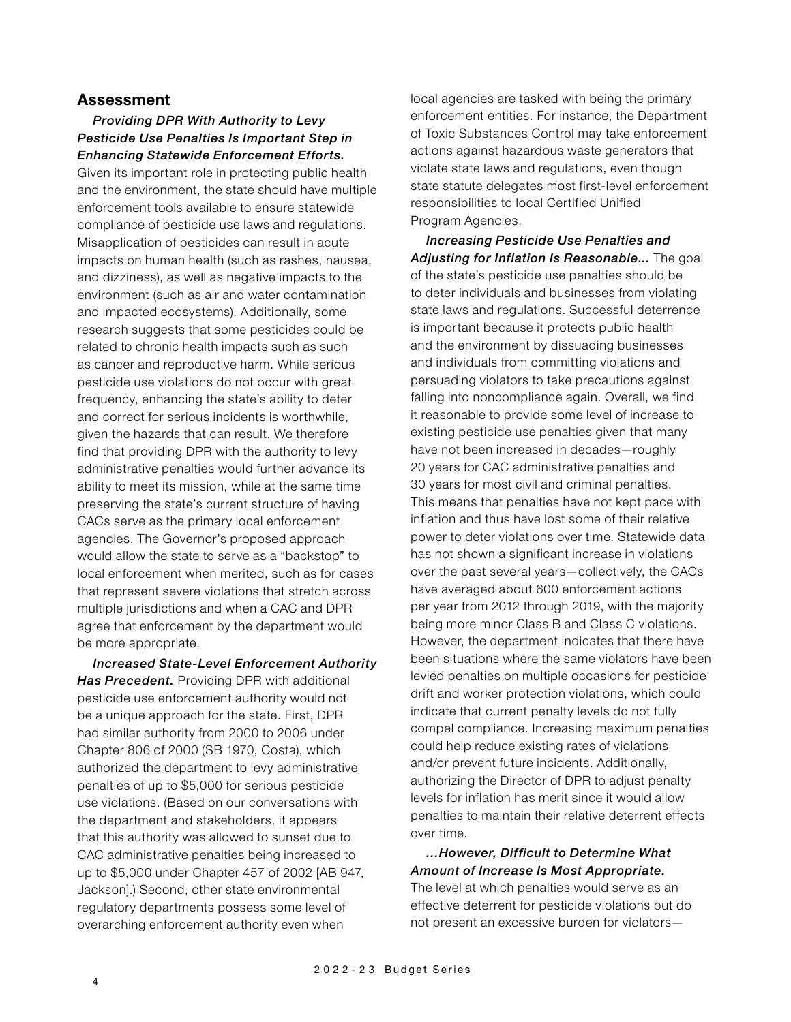#### **Assessment**

#### *Providing DPR With Authority to Levy Pesticide Use Penalties Is Important Step in Enhancing Statewide Enforcement Efforts.*

Given its important role in protecting public health and the environment, the state should have multiple enforcement tools available to ensure statewide compliance of pesticide use laws and regulations. Misapplication of pesticides can result in acute impacts on human health (such as rashes, nausea, and dizziness), as well as negative impacts to the environment (such as air and water contamination and impacted ecosystems). Additionally, some research suggests that some pesticides could be related to chronic health impacts such as such as cancer and reproductive harm. While serious pesticide use violations do not occur with great frequency, enhancing the state's ability to deter and correct for serious incidents is worthwhile, given the hazards that can result. We therefore find that providing DPR with the authority to levy administrative penalties would further advance its ability to meet its mission, while at the same time preserving the state's current structure of having CACs serve as the primary local enforcement agencies. The Governor's proposed approach would allow the state to serve as a "backstop" to local enforcement when merited, such as for cases that represent severe violations that stretch across multiple jurisdictions and when a CAC and DPR agree that enforcement by the department would be more appropriate.

*Increased State-Level Enforcement Authority Has Precedent.* Providing DPR with additional pesticide use enforcement authority would not be a unique approach for the state. First, DPR had similar authority from 2000 to 2006 under Chapter 806 of 2000 (SB 1970, Costa), which authorized the department to levy administrative penalties of up to \$5,000 for serious pesticide use violations. (Based on our conversations with the department and stakeholders, it appears that this authority was allowed to sunset due to CAC administrative penalties being increased to up to \$5,000 under Chapter 457 of 2002 [AB 947, Jackson].) Second, other state environmental regulatory departments possess some level of overarching enforcement authority even when

local agencies are tasked with being the primary enforcement entities. For instance, the Department of Toxic Substances Control may take enforcement actions against hazardous waste generators that violate state laws and regulations, even though state statute delegates most first-level enforcement responsibilities to local Certified Unified Program Agencies.

*Increasing Pesticide Use Penalties and Adjusting for Inflation Is Reasonable...* The goal of the state's pesticide use penalties should be to deter individuals and businesses from violating state laws and regulations. Successful deterrence is important because it protects public health and the environment by dissuading businesses and individuals from committing violations and persuading violators to take precautions against falling into noncompliance again. Overall, we find it reasonable to provide some level of increase to existing pesticide use penalties given that many have not been increased in decades—roughly 20 years for CAC administrative penalties and 30 years for most civil and criminal penalties. This means that penalties have not kept pace with inflation and thus have lost some of their relative power to deter violations over time. Statewide data has not shown a significant increase in violations over the past several years—collectively, the CACs have averaged about 600 enforcement actions per year from 2012 through 2019, with the majority being more minor Class B and Class C violations. However, the department indicates that there have been situations where the same violators have been levied penalties on multiple occasions for pesticide drift and worker protection violations, which could indicate that current penalty levels do not fully compel compliance. Increasing maximum penalties could help reduce existing rates of violations and/or prevent future incidents. Additionally, authorizing the Director of DPR to adjust penalty levels for inflation has merit since it would allow penalties to maintain their relative deterrent effects over time.

*…However, Difficult to Determine What Amount of Increase Is Most Appropriate.* The level at which penalties would serve as an effective deterrent for pesticide violations but do not present an excessive burden for violators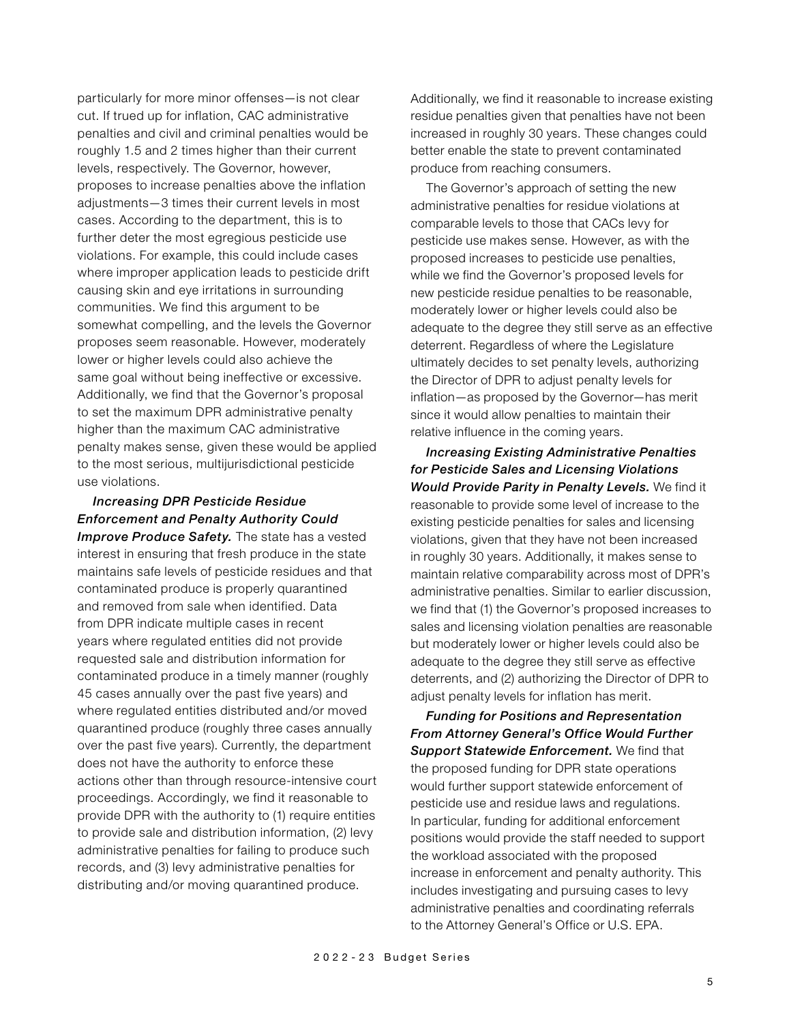particularly for more minor offenses—is not clear cut. If trued up for inflation, CAC administrative penalties and civil and criminal penalties would be roughly 1.5 and 2 times higher than their current levels, respectively. The Governor, however, proposes to increase penalties above the inflation adjustments—3 times their current levels in most cases. According to the department, this is to further deter the most egregious pesticide use violations. For example, this could include cases where improper application leads to pesticide drift causing skin and eye irritations in surrounding communities. We find this argument to be somewhat compelling, and the levels the Governor proposes seem reasonable. However, moderately lower or higher levels could also achieve the same goal without being ineffective or excessive. Additionally, we find that the Governor's proposal to set the maximum DPR administrative penalty higher than the maximum CAC administrative penalty makes sense, given these would be applied to the most serious, multijurisdictional pesticide use violations.

## *Increasing DPR Pesticide Residue Enforcement and Penalty Authority Could*

*Improve Produce Safety.* The state has a vested interest in ensuring that fresh produce in the state maintains safe levels of pesticide residues and that contaminated produce is properly quarantined and removed from sale when identified. Data from DPR indicate multiple cases in recent years where regulated entities did not provide requested sale and distribution information for contaminated produce in a timely manner (roughly 45 cases annually over the past five years) and where regulated entities distributed and/or moved quarantined produce (roughly three cases annually over the past five years). Currently, the department does not have the authority to enforce these actions other than through resource-intensive court proceedings. Accordingly, we find it reasonable to provide DPR with the authority to (1) require entities to provide sale and distribution information, (2) levy administrative penalties for failing to produce such records, and (3) levy administrative penalties for distributing and/or moving quarantined produce.

Additionally, we find it reasonable to increase existing residue penalties given that penalties have not been increased in roughly 30 years. These changes could better enable the state to prevent contaminated produce from reaching consumers.

The Governor's approach of setting the new administrative penalties for residue violations at comparable levels to those that CACs levy for pesticide use makes sense. However, as with the proposed increases to pesticide use penalties, while we find the Governor's proposed levels for new pesticide residue penalties to be reasonable, moderately lower or higher levels could also be adequate to the degree they still serve as an effective deterrent. Regardless of where the Legislature ultimately decides to set penalty levels, authorizing the Director of DPR to adjust penalty levels for inflation—as proposed by the Governor—has merit since it would allow penalties to maintain their relative influence in the coming years.

*Increasing Existing Administrative Penalties for Pesticide Sales and Licensing Violations Would Provide Parity in Penalty Levels.* We find it reasonable to provide some level of increase to the existing pesticide penalties for sales and licensing violations, given that they have not been increased in roughly 30 years. Additionally, it makes sense to maintain relative comparability across most of DPR's administrative penalties. Similar to earlier discussion, we find that (1) the Governor's proposed increases to sales and licensing violation penalties are reasonable but moderately lower or higher levels could also be adequate to the degree they still serve as effective deterrents, and (2) authorizing the Director of DPR to adjust penalty levels for inflation has merit.

*Funding for Positions and Representation From Attorney General's Office Would Further Support Statewide Enforcement.* We find that the proposed funding for DPR state operations would further support statewide enforcement of pesticide use and residue laws and regulations. In particular, funding for additional enforcement positions would provide the staff needed to support the workload associated with the proposed increase in enforcement and penalty authority. This includes investigating and pursuing cases to levy administrative penalties and coordinating referrals to the Attorney General's Office or U.S. EPA.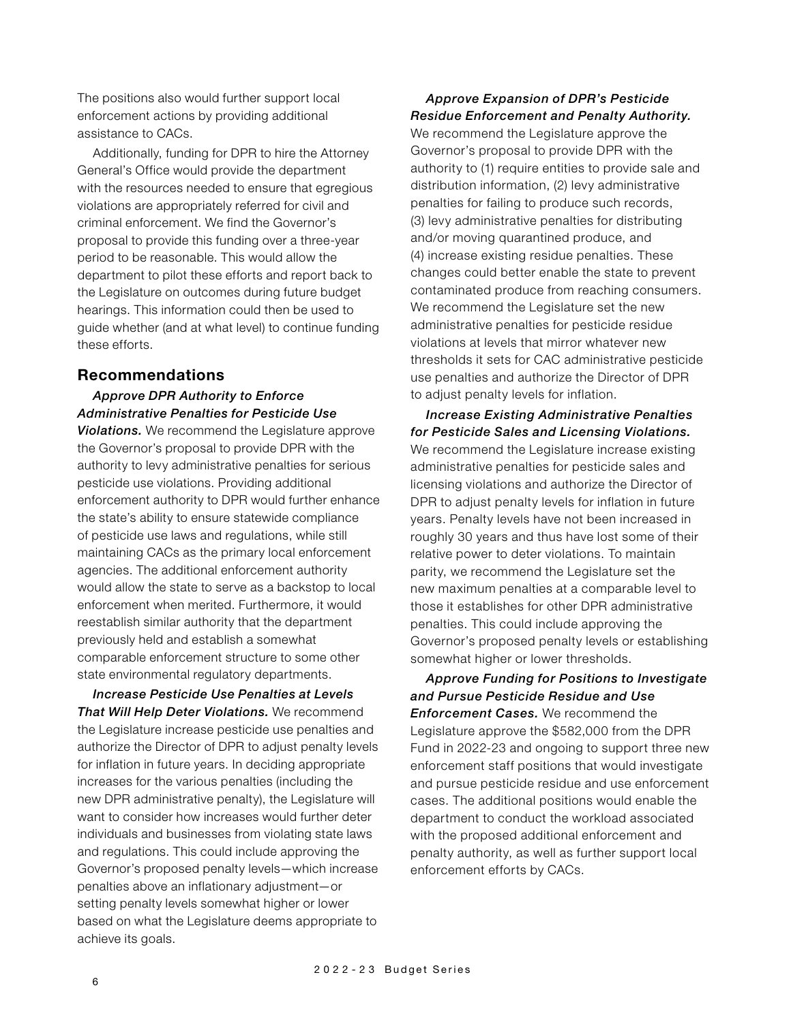The positions also would further support local enforcement actions by providing additional assistance to CACs.

Additionally, funding for DPR to hire the Attorney General's Office would provide the department with the resources needed to ensure that egregious violations are appropriately referred for civil and criminal enforcement. We find the Governor's proposal to provide this funding over a three-year period to be reasonable. This would allow the department to pilot these efforts and report back to the Legislature on outcomes during future budget hearings. This information could then be used to guide whether (and at what level) to continue funding these efforts.

### **Recommendations**

## *Approve DPR Authority to Enforce Administrative Penalties for Pesticide Use*

*Violations.* We recommend the Legislature approve the Governor's proposal to provide DPR with the authority to levy administrative penalties for serious pesticide use violations. Providing additional enforcement authority to DPR would further enhance the state's ability to ensure statewide compliance of pesticide use laws and regulations, while still maintaining CACs as the primary local enforcement agencies. The additional enforcement authority would allow the state to serve as a backstop to local enforcement when merited. Furthermore, it would reestablish similar authority that the department previously held and establish a somewhat comparable enforcement structure to some other state environmental regulatory departments.

*Increase Pesticide Use Penalties at Levels That Will Help Deter Violations.* We recommend the Legislature increase pesticide use penalties and authorize the Director of DPR to adjust penalty levels for inflation in future years. In deciding appropriate increases for the various penalties (including the new DPR administrative penalty), the Legislature will want to consider how increases would further deter individuals and businesses from violating state laws and regulations. This could include approving the Governor's proposed penalty levels—which increase penalties above an inflationary adjustment—or setting penalty levels somewhat higher or lower based on what the Legislature deems appropriate to achieve its goals.

## *Approve Expansion of DPR's Pesticide Residue Enforcement and Penalty Authority.*

We recommend the Legislature approve the Governor's proposal to provide DPR with the authority to (1) require entities to provide sale and distribution information, (2) levy administrative penalties for failing to produce such records, (3) levy administrative penalties for distributing and/or moving quarantined produce, and (4) increase existing residue penalties. These changes could better enable the state to prevent contaminated produce from reaching consumers. We recommend the Legislature set the new administrative penalties for pesticide residue violations at levels that mirror whatever new thresholds it sets for CAC administrative pesticide use penalties and authorize the Director of DPR to adjust penalty levels for inflation.

*Increase Existing Administrative Penalties for Pesticide Sales and Licensing Violations.*  We recommend the Legislature increase existing administrative penalties for pesticide sales and licensing violations and authorize the Director of DPR to adjust penalty levels for inflation in future years. Penalty levels have not been increased in roughly 30 years and thus have lost some of their relative power to deter violations. To maintain parity, we recommend the Legislature set the new maximum penalties at a comparable level to those it establishes for other DPR administrative penalties. This could include approving the Governor's proposed penalty levels or establishing somewhat higher or lower thresholds.

*Approve Funding for Positions to Investigate and Pursue Pesticide Residue and Use Enforcement Cases.* We recommend the Legislature approve the \$582,000 from the DPR Fund in 2022-23 and ongoing to support three new enforcement staff positions that would investigate and pursue pesticide residue and use enforcement cases. The additional positions would enable the department to conduct the workload associated with the proposed additional enforcement and penalty authority, as well as further support local enforcement efforts by CACs.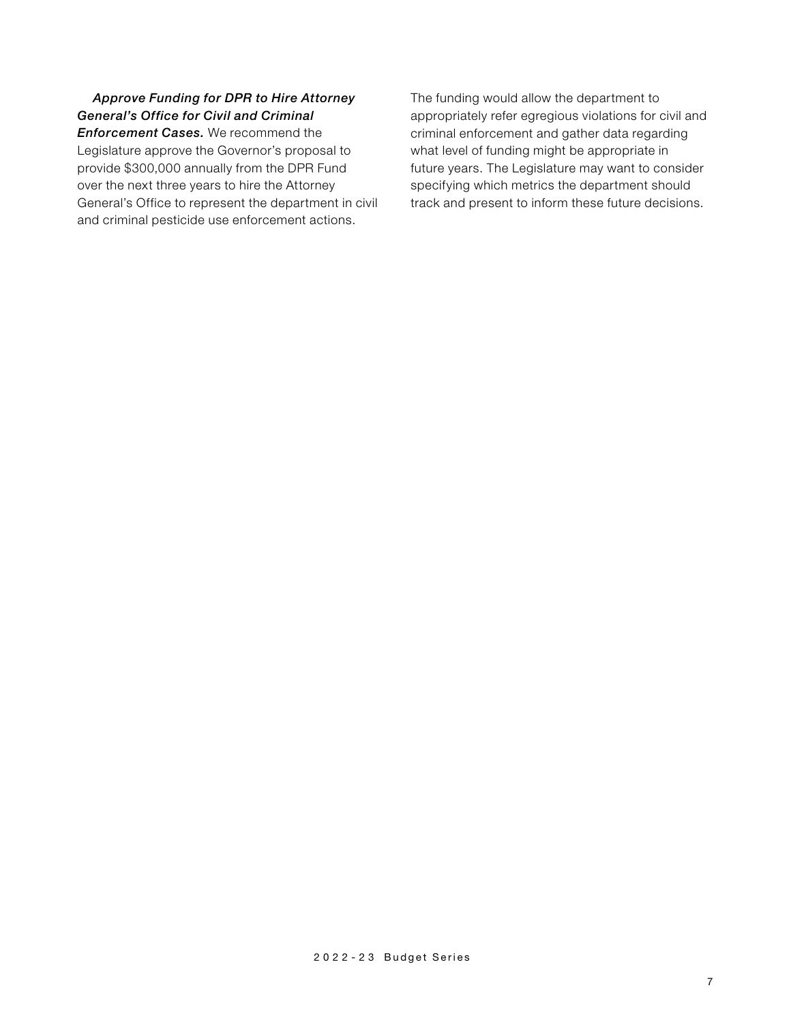*Approve Funding for DPR to Hire Attorney General's Office for Civil and Criminal Enforcement Cases.* We recommend the Legislature approve the Governor's proposal to provide \$300,000 annually from the DPR Fund over the next three years to hire the Attorney General's Office to represent the department in civil and criminal pesticide use enforcement actions.

The funding would allow the department to appropriately refer egregious violations for civil and criminal enforcement and gather data regarding what level of funding might be appropriate in future years. The Legislature may want to consider specifying which metrics the department should track and present to inform these future decisions.